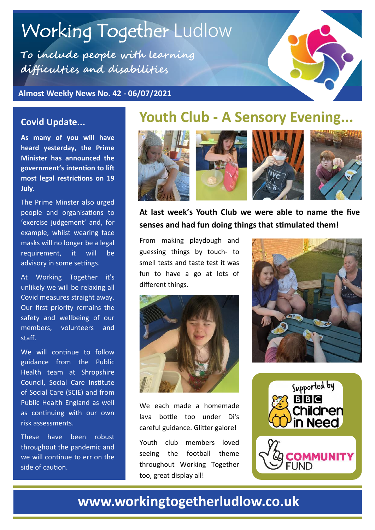# Working Together Ludlow

**To include people with learning difficulties and disabilities**

**Almost Weekly News No. 42 - 06/07/2021**



#### **Covid Update...**

**As many of you will have heard yesterday, the Prime Minister has announced the government's intention to lift most legal restrictions on 19 July.** 

The Prime Minster also urged people and organisations to 'exercise judgement' and, for example, whilst wearing face masks will no longer be a legal requirement, it will be advisory in some settings.

At Working Together it's unlikely we will be relaxing all Covid measures straight away. Our first priority remains the safety and wellbeing of our members, volunteers and staff.

We will continue to follow guidance from the Public Health team at Shropshire Council, Social Care Institute of Social Care (SCIE) and from Public Health England as well as continuing with our own risk assessments.

These have been robust throughout the pandemic and we will continue to err on the side of caution.

## **Youth Club - A Sensory Evening...**



#### **At last week's Youth Club we were able to name the five senses and had fun doing things that stimulated them!**

From making playdough and guessing things by touch- to smell tests and taste test it was fun to have a go at lots of different things.



We each made a homemade lava bottle too under Di's careful guidance. Glitter galore!

Youth club members loved seeing the football theme throughout Working Together too, great display all!





### **www.workingtogetherludlow.co.uk**